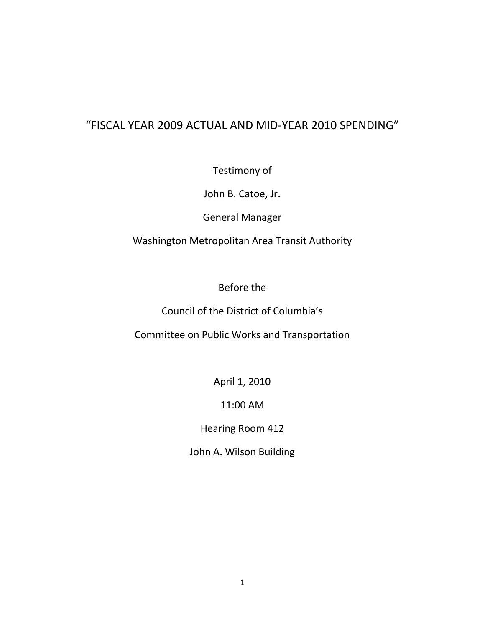# "FISCAL YEAR 2009 ACTUAL AND MID-YEAR 2010 SPENDING"

Testimony of

John B. Catoe, Jr.

General Manager

Washington Metropolitan Area Transit Authority

Before the

Council of the District of Columbia's

Committee on Public Works and Transportation

April 1, 2010

11:00 AM

Hearing Room 412

John A. Wilson Building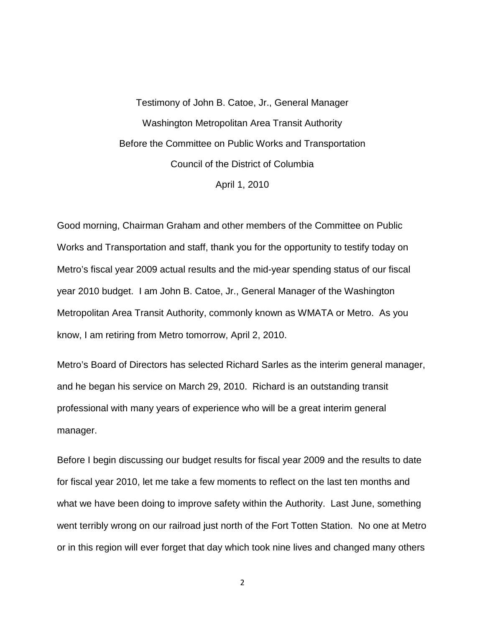Testimony of John B. Catoe, Jr., General Manager Washington Metropolitan Area Transit Authority Before the Committee on Public Works and Transportation Council of the District of Columbia April 1, 2010

Good morning, Chairman Graham and other members of the Committee on Public Works and Transportation and staff, thank you for the opportunity to testify today on Metro's fiscal year 2009 actual results and the mid-year spending status of our fiscal year 2010 budget. I am John B. Catoe, Jr., General Manager of the Washington Metropolitan Area Transit Authority, commonly known as WMATA or Metro. As you know, I am retiring from Metro tomorrow, April 2, 2010.

Metro's Board of Directors has selected Richard Sarles as the interim general manager, and he began his service on March 29, 2010. Richard is an outstanding transit professional with many years of experience who will be a great interim general manager.

Before I begin discussing our budget results for fiscal year 2009 and the results to date for fiscal year 2010, let me take a few moments to reflect on the last ten months and what we have been doing to improve safety within the Authority. Last June, something went terribly wrong on our railroad just north of the Fort Totten Station. No one at Metro or in this region will ever forget that day which took nine lives and changed many others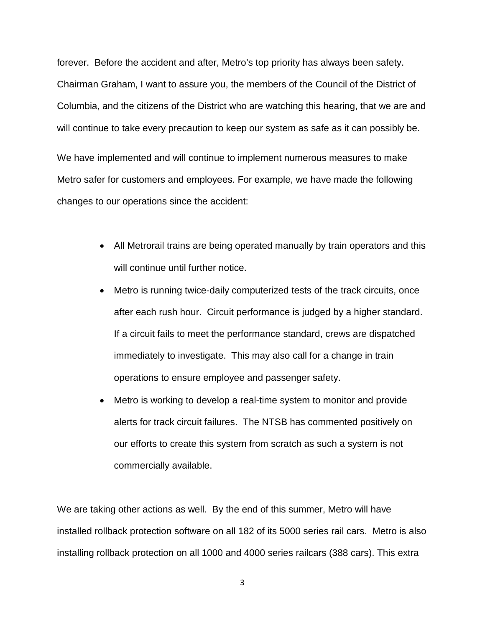forever. Before the accident and after, Metro's top priority has always been safety. Chairman Graham, I want to assure you, the members of the Council of the District of Columbia, and the citizens of the District who are watching this hearing, that we are and will continue to take every precaution to keep our system as safe as it can possibly be.

We have implemented and will continue to implement numerous measures to make Metro safer for customers and employees. For example, we have made the following changes to our operations since the accident:

- All Metrorail trains are being operated manually by train operators and this will continue until further notice.
- Metro is running twice-daily computerized tests of the track circuits, once after each rush hour. Circuit performance is judged by a higher standard. If a circuit fails to meet the performance standard, crews are dispatched immediately to investigate. This may also call for a change in train operations to ensure employee and passenger safety.
- Metro is working to develop a real-time system to monitor and provide alerts for track circuit failures. The NTSB has commented positively on our efforts to create this system from scratch as such a system is not commercially available.

We are taking other actions as well. By the end of this summer, Metro will have installed rollback protection software on all 182 of its 5000 series rail cars. Metro is also installing rollback protection on all 1000 and 4000 series railcars (388 cars). This extra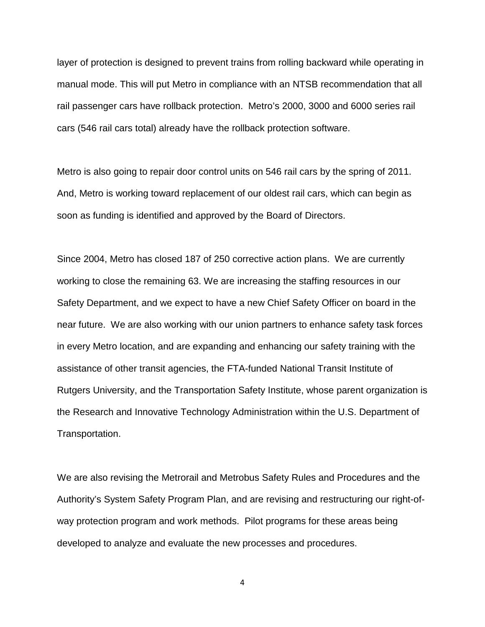layer of protection is designed to prevent trains from rolling backward while operating in manual mode. This will put Metro in compliance with an NTSB recommendation that all rail passenger cars have rollback protection. Metro's 2000, 3000 and 6000 series rail cars (546 rail cars total) already have the rollback protection software.

Metro is also going to repair door control units on 546 rail cars by the spring of 2011. And, Metro is working toward replacement of our oldest rail cars, which can begin as soon as funding is identified and approved by the Board of Directors.

Since 2004, Metro has closed 187 of 250 corrective action plans. We are currently working to close the remaining 63. We are increasing the staffing resources in our Safety Department, and we expect to have a new Chief Safety Officer on board in the near future. We are also working with our union partners to enhance safety task forces in every Metro location, and are expanding and enhancing our safety training with the assistance of other transit agencies, the FTA-funded National Transit Institute of Rutgers University, and the Transportation Safety Institute, whose parent organization is the Research and Innovative Technology Administration within the U.S. Department of Transportation.

We are also revising the Metrorail and Metrobus Safety Rules and Procedures and the Authority's System Safety Program Plan, and are revising and restructuring our right-ofway protection program and work methods. Pilot programs for these areas being developed to analyze and evaluate the new processes and procedures.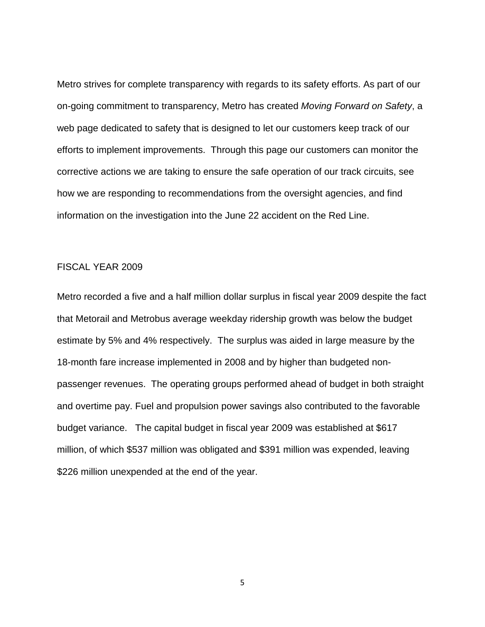Metro strives for complete transparency with regards to its safety efforts. As part of our on-going commitment to transparency, Metro has created *Moving Forward on Safety*, a web page dedicated to safety that is designed to let our customers keep track of our efforts to implement improvements. Through this page our customers can monitor the corrective actions we are taking to ensure the safe operation of our track circuits, see how we are responding to recommendations from the oversight agencies, and find information on the investigation into the June 22 accident on the Red Line.

## FISCAL YEAR 2009

Metro recorded a five and a half million dollar surplus in fiscal year 2009 despite the fact that Metorail and Metrobus average weekday ridership growth was below the budget estimate by 5% and 4% respectively. The surplus was aided in large measure by the 18-month fare increase implemented in 2008 and by higher than budgeted nonpassenger revenues. The operating groups performed ahead of budget in both straight and overtime pay. Fuel and propulsion power savings also contributed to the favorable budget variance. The capital budget in fiscal year 2009 was established at \$617 million, of which \$537 million was obligated and \$391 million was expended, leaving \$226 million unexpended at the end of the year.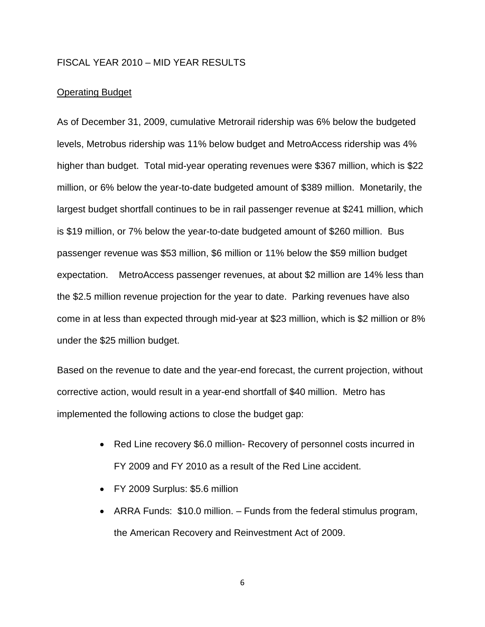### FISCAL YEAR 2010 – MID YEAR RESULTS

#### Operating Budget

As of December 31, 2009, cumulative Metrorail ridership was 6% below the budgeted levels, Metrobus ridership was 11% below budget and MetroAccess ridership was 4% higher than budget. Total mid-year operating revenues were \$367 million, which is \$22 million, or 6% below the year-to-date budgeted amount of \$389 million. Monetarily, the largest budget shortfall continues to be in rail passenger revenue at \$241 million, which is \$19 million, or 7% below the year-to-date budgeted amount of \$260 million. Bus passenger revenue was \$53 million, \$6 million or 11% below the \$59 million budget expectation. MetroAccess passenger revenues, at about \$2 million are 14% less than the \$2.5 million revenue projection for the year to date. Parking revenues have also come in at less than expected through mid-year at \$23 million, which is \$2 million or 8% under the \$25 million budget.

Based on the revenue to date and the year-end forecast, the current projection, without corrective action, would result in a year-end shortfall of \$40 million. Metro has implemented the following actions to close the budget gap:

- Red Line recovery \$6.0 million-Recovery of personnel costs incurred in FY 2009 and FY 2010 as a result of the Red Line accident.
- FY 2009 Surplus: \$5.6 million
- ARRA Funds: \$10.0 million. Funds from the federal stimulus program, the American Recovery and Reinvestment Act of 2009.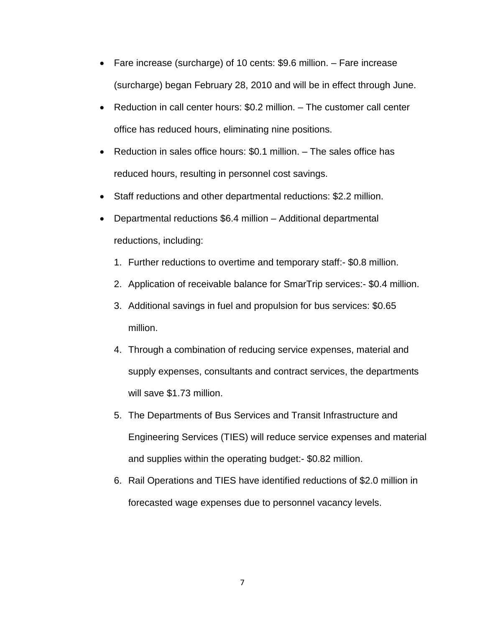- Fare increase (surcharge) of 10 cents: \$9.6 million. Fare increase (surcharge) began February 28, 2010 and will be in effect through June.
- Reduction in call center hours: \$0.2 million. The customer call center office has reduced hours, eliminating nine positions.
- Reduction in sales office hours: \$0.1 million. The sales office has reduced hours, resulting in personnel cost savings.
- Staff reductions and other departmental reductions: \$2.2 million.
- Departmental reductions \$6.4 million Additional departmental reductions, including:
	- 1. Further reductions to overtime and temporary staff:- \$0.8 million.
	- 2. Application of receivable balance for SmarTrip services:- \$0.4 million.
	- 3. Additional savings in fuel and propulsion for bus services: \$0.65 million.
	- 4. Through a combination of reducing service expenses, material and supply expenses, consultants and contract services, the departments will save \$1.73 million.
	- 5. The Departments of Bus Services and Transit Infrastructure and Engineering Services (TIES) will reduce service expenses and material and supplies within the operating budget:- \$0.82 million.
	- 6. Rail Operations and TIES have identified reductions of \$2.0 million in forecasted wage expenses due to personnel vacancy levels.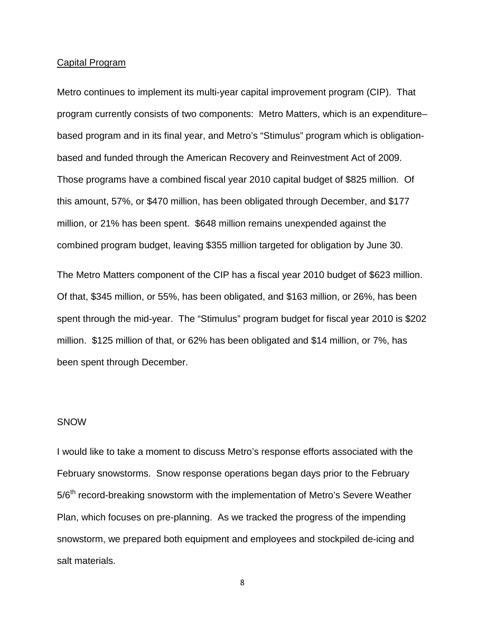#### Capital Program

Metro continues to implement its multi-year capital improvement program (CIP). That program currently consists of two components: Metro Matters, which is an expenditure– based program and in its final year, and Metro's "Stimulus" program which is obligationbased and funded through the American Recovery and Reinvestment Act of 2009. Those programs have a combined fiscal year 2010 capital budget of \$825 million. Of this amount, 57%, or \$470 million, has been obligated through December, and \$177 million, or 21% has been spent. \$648 million remains unexpended against the combined program budget, leaving \$355 million targeted for obligation by June 30.

The Metro Matters component of the CIP has a fiscal year 2010 budget of \$623 million. Of that, \$345 million, or 55%, has been obligated, and \$163 million, or 26%, has been spent through the mid-year. The "Stimulus" program budget for fiscal year 2010 is \$202 million. \$125 million of that, or 62% has been obligated and \$14 million, or 7%, has been spent through December.

## **SNOW**

I would like to take a moment to discuss Metro's response efforts associated with the February snowstorms. Snow response operations began days prior to the February 5/6<sup>th</sup> record-breaking snowstorm with the implementation of Metro's Severe Weather Plan, which focuses on pre-planning. As we tracked the progress of the impending snowstorm, we prepared both equipment and employees and stockpiled de-icing and salt materials.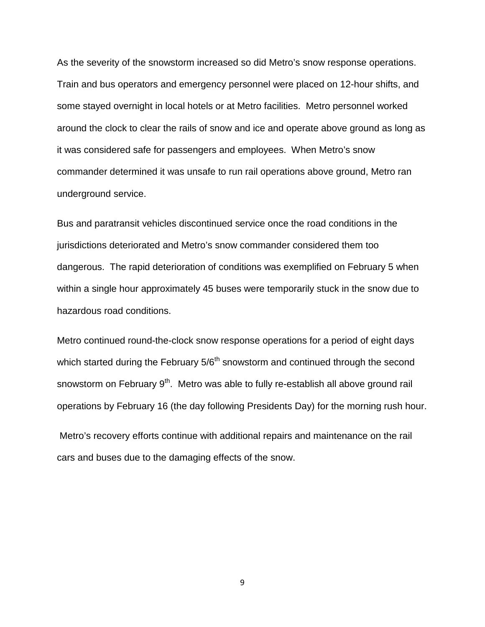As the severity of the snowstorm increased so did Metro's snow response operations. Train and bus operators and emergency personnel were placed on 12-hour shifts, and some stayed overnight in local hotels or at Metro facilities. Metro personnel worked around the clock to clear the rails of snow and ice and operate above ground as long as it was considered safe for passengers and employees. When Metro's snow commander determined it was unsafe to run rail operations above ground, Metro ran underground service.

Bus and paratransit vehicles discontinued service once the road conditions in the jurisdictions deteriorated and Metro's snow commander considered them too dangerous. The rapid deterioration of conditions was exemplified on February 5 when within a single hour approximately 45 buses were temporarily stuck in the snow due to hazardous road conditions.

Metro continued round-the-clock snow response operations for a period of eight days which started during the February 5/6<sup>th</sup> snowstorm and continued through the second snowstorm on February 9<sup>th</sup>. Metro was able to fully re-establish all above ground rail operations by February 16 (the day following Presidents Day) for the morning rush hour.

Metro's recovery efforts continue with additional repairs and maintenance on the rail cars and buses due to the damaging effects of the snow.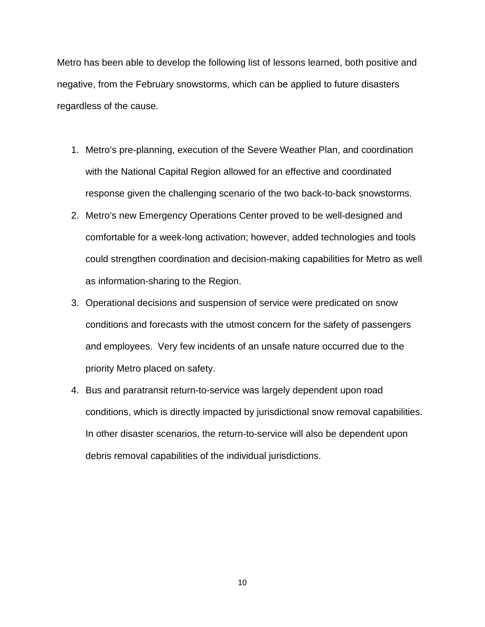Metro has been able to develop the following list of lessons learned, both positive and negative, from the February snowstorms, which can be applied to future disasters regardless of the cause.

- 1. Metro's pre-planning, execution of the Severe Weather Plan, and coordination with the National Capital Region allowed for an effective and coordinated response given the challenging scenario of the two back-to-back snowstorms.
- 2. Metro's new Emergency Operations Center proved to be well-designed and comfortable for a week-long activation; however, added technologies and tools could strengthen coordination and decision-making capabilities for Metro as well as information-sharing to the Region.
- 3. Operational decisions and suspension of service were predicated on snow conditions and forecasts with the utmost concern for the safety of passengers and employees. Very few incidents of an unsafe nature occurred due to the priority Metro placed on safety.
- 4. Bus and paratransit return-to-service was largely dependent upon road conditions, which is directly impacted by jurisdictional snow removal capabilities. In other disaster scenarios, the return-to-service will also be dependent upon debris removal capabilities of the individual jurisdictions.